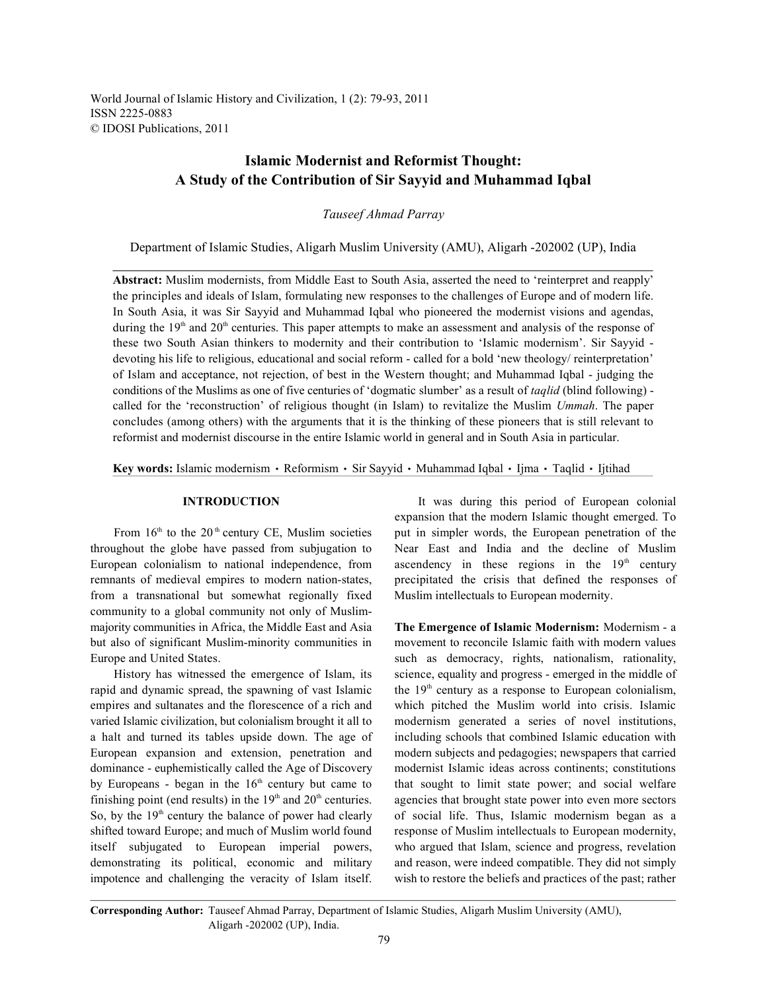World Journal of Islamic History and Civilization, 1 (2): 79-93, 2011 ISSN 2225-0883 © IDOSI Publications, 2011

## **Islamic Modernist and Reformist Thought: A Study of the Contribution of Sir Sayyid and Muhammad Iqbal**

*Tauseef Ahmad Parray*

Department of Islamic Studies, Aligarh Muslim University (AMU), Aligarh -202002 (UP), India

**Abstract:** Muslim modernists, from Middle East to South Asia, asserted the need to 'reinterpret and reapply' the principles and ideals of Islam, formulating new responses to the challenges of Europe and of modern life. In South Asia, it was Sir Sayyid and Muhammad Iqbal who pioneered the modernist visions and agendas, during the  $19<sup>th</sup>$  and  $20<sup>th</sup>$  centuries. This paper attempts to make an assessment and analysis of the response of these two South Asian thinkers to modernity and their contribution to 'Islamic modernism'. Sir Sayyid devoting his life to religious, educational and social reform - called for a bold 'new theology/ reinterpretation' of Islam and acceptance, not rejection, of best in the Western thought; and Muhammad Iqbal - judging the conditions of the Muslims as one of five centuries of 'dogmatic slumber' as a result of *taqlid* (blind following) called for the 'reconstruction' of religious thought (in Islam) to revitalize the Muslim *Ummah*. The paper concludes (among others) with the arguments that it is the thinking of these pioneers that is still relevant to reformist and modernist discourse in the entire Islamic world in general and in South Asia in particular.

Key words: Islamic modernism · Reformism · Sir Sayyid · Muhammad Iqbal · Ijma · Taqlid · Ijtihad

throughout the globe have passed from subjugation to Near East and India and the decline of Muslim European colonialism to national independence, from ascendency in these regions in the  $19<sup>th</sup>$  century remnants of medieval empires to modern nation-states, precipitated the crisis that defined the responses of from a transnational but somewhat regionally fixed Muslim intellectuals to European modernity. community to a global community not only of Muslimmajority communities in Africa, the Middle East and Asia **The Emergence of Islamic Modernism:** Modernism - a but also of significant Muslim-minority communities in movement to reconcile Islamic faith with modern values Europe and United States. Such as democracy, rights, nationalism, rationality,

rapid and dynamic spread, the spawning of vast Islamic the  $19<sup>th</sup>$  century as a response to European colonialism, empires and sultanates and the florescence of a rich and which pitched the Muslim world into crisis. Islamic varied Islamic civilization, but colonialism brought it all to modernism generated a series of novel institutions, a halt and turned its tables upside down. The age of including schools that combined Islamic education with European expansion and extension, penetration and modern subjects and pedagogies; newspapers that carried dominance - euphemistically called the Age of Discovery modernist Islamic ideas across continents; constitutions by Europeans - began in the  $16<sup>th</sup>$  century but came to that sought to limit state power; and social welfare finishing point (end results) in the  $19<sup>th</sup>$  and  $20<sup>th</sup>$  centuries. agencies that brought state power into even more sectors So, by the  $19<sup>th</sup>$  century the balance of power had clearly of social life. Thus, Islamic modernism began as a shifted toward Europe; and much of Muslim world found response of Muslim intellectuals to European modernity, itself subjugated to European imperial powers, who argued that Islam, science and progress, revelation demonstrating its political, economic and military and reason, were indeed compatible. They did not simply impotence and challenging the veracity of Islam itself. wish to restore the beliefs and practices of the past; rather

**INTRODUCTION** It was during this period of European colonial From  $16<sup>th</sup>$  to the 20<sup>th</sup> century CE, Muslim societies put in simpler words, the European penetration of the expansion that the modern Islamic thought emerged. To

History has witnessed the emergence of Islam, its science, equality and progress - emerged in the middle of

**Corresponding Author:** Tauseef Ahmad Parray, Department of Islamic Studies, Aligarh Muslim University (AMU), Aligarh -202002 (UP), India.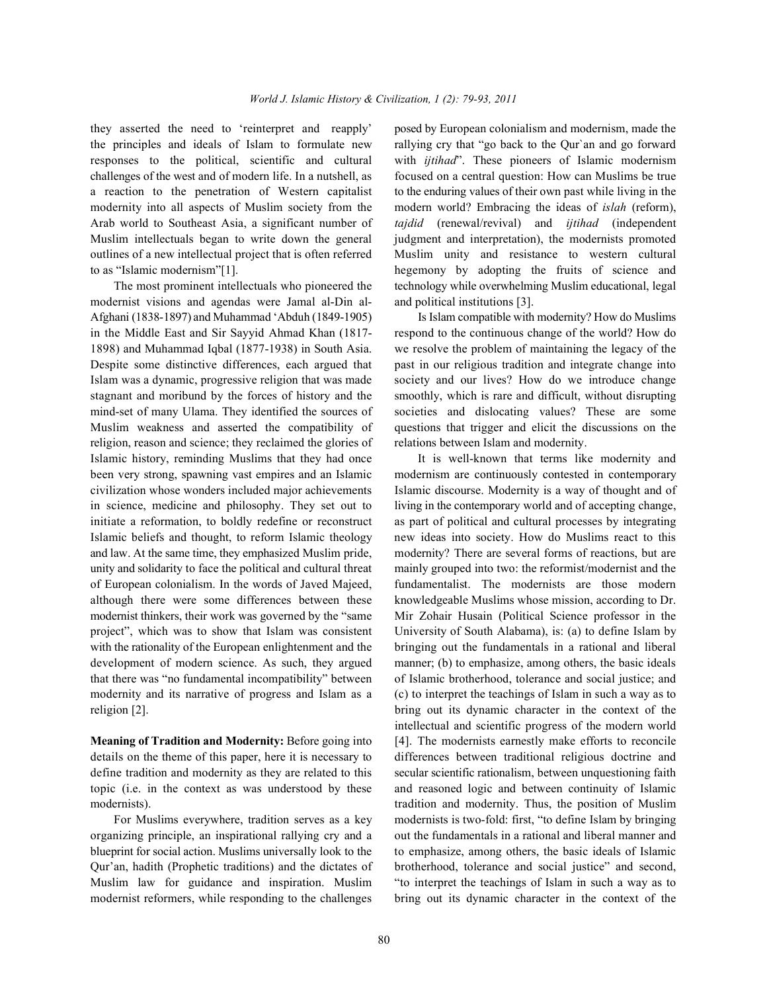the principles and ideals of Islam to formulate new rallying cry that "go back to the Qur`an and go forward responses to the political, scientific and cultural with *ijtihad*". These pioneers of Islamic modernism challenges of the west and of modern life. In a nutshell, as focused on a central question: How can Muslims be true a reaction to the penetration of Western capitalist to the enduring values of their own past while living in the modernity into all aspects of Muslim society from the modern world? Embracing the ideas of *islah* (reform), Arab world to Southeast Asia, a significant number of *tajdid* (renewal/revival) and *ijtihad* (independent Muslim intellectuals began to write down the general judgment and interpretation), the modernists promoted outlines of a new intellectual project that is often referred Muslim unity and resistance to western cultural to as "Islamic modernism"[1]. hegemony by adopting the fruits of science and

modernist visions and agendas were Jamal al-Din al- and political institutions [3]. Afghani (1838-1897) and Muhammad 'Abduh (1849-1905) Is Islam compatible with modernity? How do Muslims in the Middle East and Sir Sayyid Ahmad Khan (1817- respond to the continuous change of the world? How do 1898) and Muhammad Iqbal (1877-1938) in South Asia. we resolve the problem of maintaining the legacy of the Despite some distinctive differences, each argued that past in our religious tradition and integrate change into Islam was a dynamic, progressive religion that was made society and our lives? How do we introduce change stagnant and moribund by the forces of history and the smoothly, which is rare and difficult, without disrupting mind-set of many Ulama. They identified the sources of societies and dislocating values? These are some Muslim weakness and asserted the compatibility of questions that trigger and elicit the discussions on the religion, reason and science; they reclaimed the glories of relations between Islam and modernity. Islamic history, reminding Muslims that they had once It is well-known that terms like modernity and been very strong, spawning vast empires and an Islamic modernism are continuously contested in contemporary civilization whose wonders included major achievements Islamic discourse. Modernity is a way of thought and of in science, medicine and philosophy. They set out to living in the contemporary world and of accepting change, initiate a reformation, to boldly redefine or reconstruct as part of political and cultural processes by integrating Islamic beliefs and thought, to reform Islamic theology new ideas into society. How do Muslims react to this and law. At the same time, they emphasized Muslim pride, modernity? There are several forms of reactions, but are unity and solidarity to face the political and cultural threat mainly grouped into two: the reformist/modernist and the of European colonialism. In the words of Javed Majeed, fundamentalist. The modernists are those modern although there were some differences between these knowledgeable Muslims whose mission, according to Dr. modernist thinkers, their work was governed by the "same Mir Zohair Husain (Political Science professor in the project", which was to show that Islam was consistent University of South Alabama), is: (a) to define Islam by with the rationality of the European enlightenment and the bringing out the fundamentals in a rational and liberal development of modern science. As such, they argued manner; (b) to emphasize, among others, the basic ideals that there was "no fundamental incompatibility" between of Islamic brotherhood, tolerance and social justice; and modernity and its narrative of progress and Islam as a (c) to interpret the teachings of Islam in such a way as to religion [2]. bring out its dynamic character in the context of the

details on the theme of this paper, here it is necessary to differences between traditional religious doctrine and define tradition and modernity as they are related to this secular scientific rationalism, between unquestioning faith topic (i.e. in the context as was understood by these and reasoned logic and between continuity of Islamic

organizing principle, an inspirational rallying cry and a out the fundamentals in a rational and liberal manner and blueprint for social action. Muslims universally look to the to emphasize, among others, the basic ideals of Islamic Qur'an, hadith (Prophetic traditions) and the dictates of brotherhood, tolerance and social justice" and second, Muslim law for guidance and inspiration. Muslim "to interpret the teachings of Islam in such a way as to modernist reformers, while responding to the challenges bring out its dynamic character in the context of the

they asserted the need to 'reinterpret and reapply' posed by European colonialism and modernism, made the The most prominent intellectuals who pioneered the technology while overwhelming Muslim educational, legal

**Meaning of Tradition and Modernity:** Before going into [4]. The modernists earnestly make efforts to reconcile modernists). tradition and modernity. Thus, the position of Muslim For Muslims everywhere, tradition serves as a key modernists is two-fold: first, "to define Islam by bringing intellectual and scientific progress of the modern world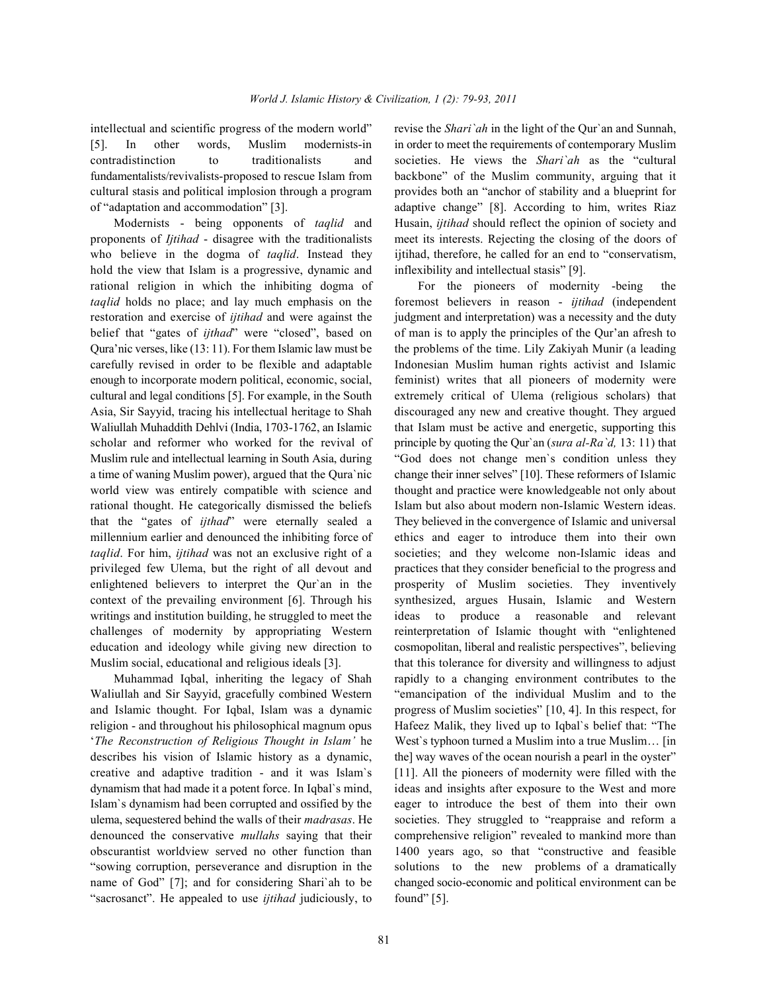[5]. In other words, Muslim modernists-in in order to meet the requirements of contemporary Muslim contradistinction to traditionalists and societies. He views the *Shari`ah* as the "cultural fundamentalists/revivalists-proposed to rescue Islam from backbone" of the Muslim community, arguing that it cultural stasis and political implosion through a program provides both an "anchor of stability and a blueprint for of "adaptation and accommodation" [3]. adaptive change" [8]. According to him, writes Riaz

proponents of *Ijtihad* - disagree with the traditionalists meet its interests. Rejecting the closing of the doors of who believe in the dogma of *taqlid*. Instead they ijtihad, therefore, he called for an end to "conservatism, hold the view that Islam is a progressive, dynamic and inflexibility and intellectual stasis" [9]. rational religion in which the inhibiting dogma of For the pioneers of modernity -being the *taqlid* holds no place; and lay much emphasis on the foremost believers in reason - *ijtihad* (independent restoration and exercise of *ijtihad* and were against the judgment and interpretation) was a necessity and the duty belief that "gates of *ijthad*" were "closed", based on of man is to apply the principles of the Qur'an afresh to Qura'nic verses, like (13: 11). For them Islamic law must be the problems of the time. Lily Zakiyah Munir (a leading carefully revised in order to be flexible and adaptable Indonesian Muslim human rights activist and Islamic enough to incorporate modern political, economic, social, feminist) writes that all pioneers of modernity were cultural and legal conditions [5]. For example, in the South extremely critical of Ulema (religious scholars) that Asia, Sir Sayyid, tracing his intellectual heritage to Shah discouraged any new and creative thought. They argued Waliullah Muhaddith Dehlvi (India, 1703-1762, an Islamic that Islam must be active and energetic, supporting this scholar and reformer who worked for the revival of principle by quoting the Qur'an (*sura al-Ra'd,* 13: 11) that Muslim rule and intellectual learning in South Asia, during "God does not change men`s condition unless they a time of waning Muslim power), argued that the Qura`nic change their inner selves" [10]. These reformers of Islamic world view was entirely compatible with science and thought and practice were knowledgeable not only about rational thought. He categorically dismissed the beliefs Islam but also about modern non-Islamic Western ideas. that the "gates of *ijthad*" were eternally sealed a They believed in the convergence of Islamic and universal millennium earlier and denounced the inhibiting force of ethics and eager to introduce them into their own *taqlid*. For him, *ijtihad* was not an exclusive right of a societies; and they welcome non-Islamic ideas and privileged few Ulema, but the right of all devout and practices that they consider beneficial to the progress and enlightened believers to interpret the Qur`an in the prosperity of Muslim societies. They inventively context of the prevailing environment [6]. Through his synthesized, argues Husain, Islamic and Western writings and institution building, he struggled to meet the ideas to produce a reasonable and relevant challenges of modernity by appropriating Western reinterpretation of Islamic thought with "enlightened education and ideology while giving new direction to cosmopolitan, liberal and realistic perspectives", believing Muslim social, educational and religious ideals [3]. that this tolerance for diversity and willingness to adjust

Waliullah and Sir Sayyid, gracefully combined Western "emancipation of the individual Muslim and to the and Islamic thought. For Iqbal, Islam was a dynamic progress of Muslim societies" [10, 4]. In this respect, for religion - and throughout his philosophical magnum opus Hafeez Malik, they lived up to Iqbal`s belief that: "The '*The Reconstruction of Religious Thought in Islam'* he West`s typhoon turned a Muslim into a true Muslim… [in describes his vision of Islamic history as a dynamic, the] way waves of the ocean nourish a pearl in the oyster" creative and adaptive tradition - and it was Islam`s [11]. All the pioneers of modernity were filled with the dynamism that had made it a potent force. In Iqbal`s mind, ideas and insights after exposure to the West and more Islam`s dynamism had been corrupted and ossified by the eager to introduce the best of them into their own ulema, sequestered behind the walls of their *madrasas*. He societies. They struggled to "reappraise and reform a denounced the conservative *mullahs* saying that their comprehensive religion" revealed to mankind more than obscurantist worldview served no other function than 1400 years ago, so that "constructive and feasible "sowing corruption, perseverance and disruption in the solutions to the new problems of a dramatically name of God" [7]; and for considering Shari`ah to be changed socio-economic and political environment can be "sacrosanct". He appealed to use *ijtihad* judiciously, to found" [5].

intellectual and scientific progress of the modern world" revise the *Shari`ah* in the light of the Qur`an and Sunnah, Modernists - being opponents of *taqlid* and Husain, *ijtihad* should reflect the opinion of society and

Muhammad Iqbal, inheriting the legacy of Shah rapidly to a changing environment contributes to the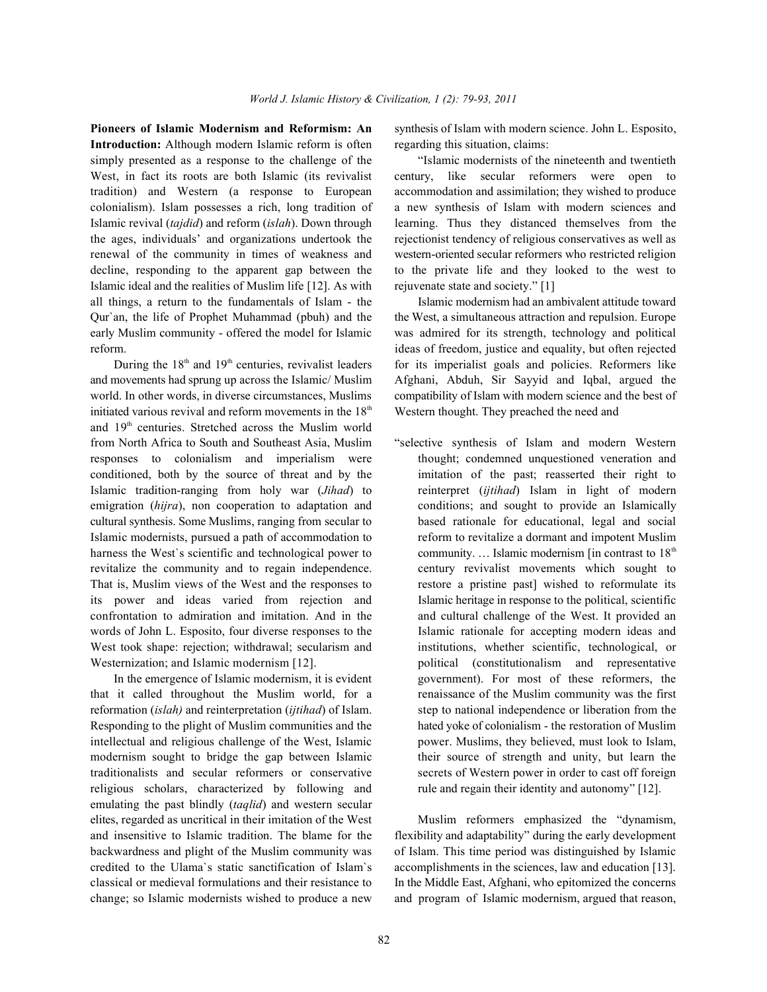**Introduction:** Although modern Islamic reform is often regarding this situation, claims: simply presented as a response to the challenge of the "Islamic modernists of the nineteenth and twentieth West, in fact its roots are both Islamic (its revivalist century, like secular reformers were open to tradition) and Western (a response to European accommodation and assimilation; they wished to produce colonialism). Islam possesses a rich, long tradition of a new synthesis of Islam with modern sciences and Islamic revival (*tajdid*) and reform (*islah*). Down through learning. Thus they distanced themselves from the the ages, individuals' and organizations undertook the rejectionist tendency of religious conservatives as well as renewal of the community in times of weakness and western-oriented secular reformers who restricted religion decline, responding to the apparent gap between the to the private life and they looked to the west to Islamic ideal and the realities of Muslim life [12]. As with rejuvenate state and society." [1] all things, a return to the fundamentals of Islam - the Islamic modernism had an ambivalent attitude toward Qur`an, the life of Prophet Muhammad (pbuh) and the the West, a simultaneous attraction and repulsion. Europe early Muslim community - offered the model for Islamic was admired for its strength, technology and political reform. ideas of freedom, justice and equality, but often rejected

and movements had sprung up across the Islamic/ Muslim Afghani, Abduh, Sir Sayyid and Iqbal, argued the world. In other words, in diverse circumstances, Muslims compatibility of Islam with modern science and the best of initiated various revival and reform movements in the  $18<sup>th</sup>$  Western thought. They preached the need and and 19<sup>th</sup> centuries. Stretched across the Muslim world from North Africa to South and Southeast Asia, Muslim "selective synthesis of Islam and modern Western responses to colonialism and imperialism were thought; condemned unquestioned veneration and conditioned, both by the source of threat and by the imitation of the past; reasserted their right to Islamic tradition-ranging from holy war (*Jihad*) to reinterpret (*ijtihad*) Islam in light of modern emigration *(hijra)*, non cooperation to adaptation and conditions; and sought to provide an Islamically cultural synthesis. Some Muslims, ranging from secular to based rationale for educational, legal and social Islamic modernists, pursued a path of accommodation to reform to revitalize a dormant and impotent Muslim harness the West's scientific and technological power to revitalize the community and to regain independence. century revivalist movements which sought to That is, Muslim views of the West and the responses to restore a pristine past wished to reformulate its its power and ideas varied from rejection and Islamic heritage in response to the political, scientific confrontation to admiration and imitation. And in the and cultural challenge of the West. It provided an words of John L. Esposito, four diverse responses to the Islamic rationale for accepting modern ideas and West took shape: rejection; withdrawal; secularism and institutions, whether scientific, technological, or Westernization; and Islamic modernism [12]. political (constitutionalism and representative

that it called throughout the Muslim world, for a renaissance of the Muslim community was the first reformation (*islah)* and reinterpretation (*ijtihad*) of Islam. step to national independence or liberation from the Responding to the plight of Muslim communities and the hated yoke of colonialism - the restoration of Muslim intellectual and religious challenge of the West, Islamic power. Muslims, they believed, must look to Islam, modernism sought to bridge the gap between Islamic their source of strength and unity, but learn the traditionalists and secular reformers or conservative secrets of Western power in order to cast off foreign religious scholars, characterized by following and rule and regain their identity and autonomy" [12]. emulating the past blindly (*taqlid*) and western secular elites, regarded as uncritical in their imitation of the West Muslim reformers emphasized the "dynamism, and insensitive to Islamic tradition. The blame for the flexibility and adaptability" during the early development backwardness and plight of the Muslim community was of Islam. This time period was distinguished by Islamic credited to the Ulama`s static sanctification of Islam`s accomplishments in the sciences, law and education [13]. classical or medieval formulations and their resistance to In the Middle East, Afghani, who epitomized the concerns change; so Islamic modernists wished to produce a new and program of Islamic modernism, argued that reason,

**Pioneers of Islamic Modernism and Reformism: An** synthesis of Islam with modern science. John L. Esposito,

During the  $18<sup>th</sup>$  and  $19<sup>th</sup>$  centuries, revivalist leaders for its imperialist goals and policies. Reformers like

In the emergence of Islamic modernism, it is evident government). For most of these reformers, the community.... Islamic modernism [in contrast to  $18<sup>th</sup>$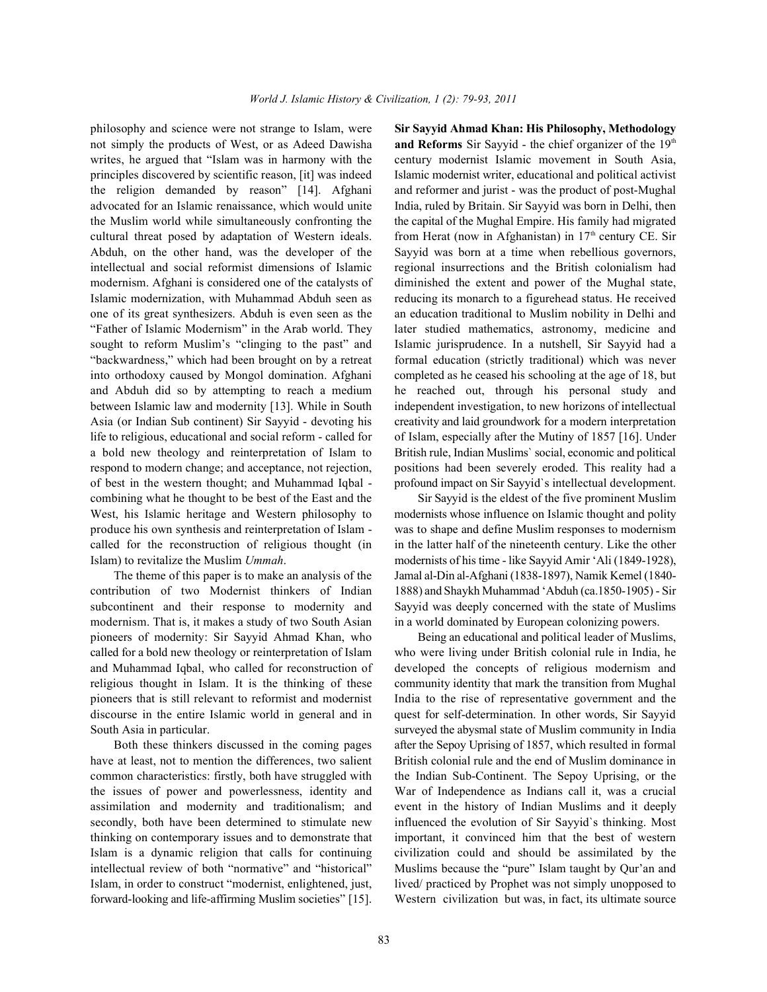philosophy and science were not strange to Islam, were **Sir Sayyid Ahmad Khan: His Philosophy, Methodology** not simply the products of West, or as Adeed Dawisha writes, he argued that "Islam was in harmony with the century modernist Islamic movement in South Asia, principles discovered by scientific reason, [it] was indeed Islamic modernist writer, educational and political activist the religion demanded by reason" [14]. Afghani and reformer and jurist - was the product of post-Mughal advocated for an Islamic renaissance, which would unite India, ruled by Britain. Sir Sayyid was born in Delhi, then the Muslim world while simultaneously confronting the the capital of the Mughal Empire. His family had migrated cultural threat posed by adaptation of Western ideals. from Herat (now in Afghanistan) in  $17<sup>th</sup>$  century CE. Sir Abduh, on the other hand, was the developer of the Sayyid was born at a time when rebellious governors, intellectual and social reformist dimensions of Islamic regional insurrections and the British colonialism had modernism. Afghani is considered one of the catalysts of diminished the extent and power of the Mughal state, Islamic modernization, with Muhammad Abduh seen as reducing its monarch to a figurehead status. He received one of its great synthesizers. Abduh is even seen as the an education traditional to Muslim nobility in Delhi and "Father of Islamic Modernism" in the Arab world. They later studied mathematics, astronomy, medicine and sought to reform Muslim's "clinging to the past" and Islamic jurisprudence. In a nutshell, Sir Sayyid had a "backwardness," which had been brought on by a retreat formal education (strictly traditional) which was never into orthodoxy caused by Mongol domination. Afghani completed as he ceased his schooling at the age of 18, but and Abduh did so by attempting to reach a medium he reached out, through his personal study and between Islamic law and modernity [13]. While in South independent investigation, to new horizons of intellectual Asia (or Indian Sub continent) Sir Sayyid - devoting his creativity and laid groundwork for a modern interpretation life to religious, educational and social reform - called for of Islam, especially after the Mutiny of 1857 [16]. Under a bold new theology and reinterpretation of Islam to British rule, Indian Muslims` social, economic and political respond to modern change; and acceptance, not rejection, positions had been severely eroded. This reality had a of best in the western thought; and Muhammad Iqbal - profound impact on Sir Sayyid`s intellectual development. combining what he thought to be best of the East and the Sir Sayyid is the eldest of the five prominent Muslim West, his Islamic heritage and Western philosophy to modernists whose influence on Islamic thought and polity produce his own synthesis and reinterpretation of Islam - was to shape and define Muslim responses to modernism called for the reconstruction of religious thought (in in the latter half of the nineteenth century. Like the other Islam) to revitalize the Muslim *Ummah*. modernists of his time - like Sayyid Amir 'Ali (1849-1928),

contribution of two Modernist thinkers of Indian 1888) and Shaykh Muhammad 'Abduh (ca.1850-1905) - Sir subcontinent and their response to modernity and Sayyid was deeply concerned with the state of Muslims modernism. That is, it makes a study of two South Asian in a world dominated by European colonizing powers. pioneers of modernity: Sir Sayyid Ahmad Khan, who Being an educational and political leader of Muslims, called for a bold new theology or reinterpretation of Islam who were living under British colonial rule in India, he and Muhammad Iqbal, who called for reconstruction of developed the concepts of religious modernism and religious thought in Islam. It is the thinking of these community identity that mark the transition from Mughal pioneers that is still relevant to reformist and modernist India to the rise of representative government and the discourse in the entire Islamic world in general and in quest for self-determination. In other words, Sir Sayyid South Asia in particular. Surveyed the abysmal state of Muslim community in India

have at least, not to mention the differences, two salient British colonial rule and the end of Muslim dominance in common characteristics: firstly, both have struggled with the Indian Sub-Continent. The Sepoy Uprising, or the the issues of power and powerlessness, identity and War of Independence as Indians call it, was a crucial assimilation and modernity and traditionalism; and event in the history of Indian Muslims and it deeply secondly, both have been determined to stimulate new influenced the evolution of Sir Sayyid`s thinking. Most thinking on contemporary issues and to demonstrate that important, it convinced him that the best of western Islam is a dynamic religion that calls for continuing civilization could and should be assimilated by the intellectual review of both "normative" and "historical" Muslims because the "pure" Islam taught by Qur'an and Islam, in order to construct "modernist, enlightened, just, lived/ practiced by Prophet was not simply unopposed to forward-looking and life-affirming Muslim societies" [15]. Western civilization but was, in fact, its ultimate source

and Reforms Sir Sayyid - the chief organizer of the 19th

The theme of this paper is to make an analysis of the Jamal al-Din al-Afghani (1838-1897), Namik Kemel (1840-

Both these thinkers discussed in the coming pages after the Sepoy Uprising of 1857, which resulted in formal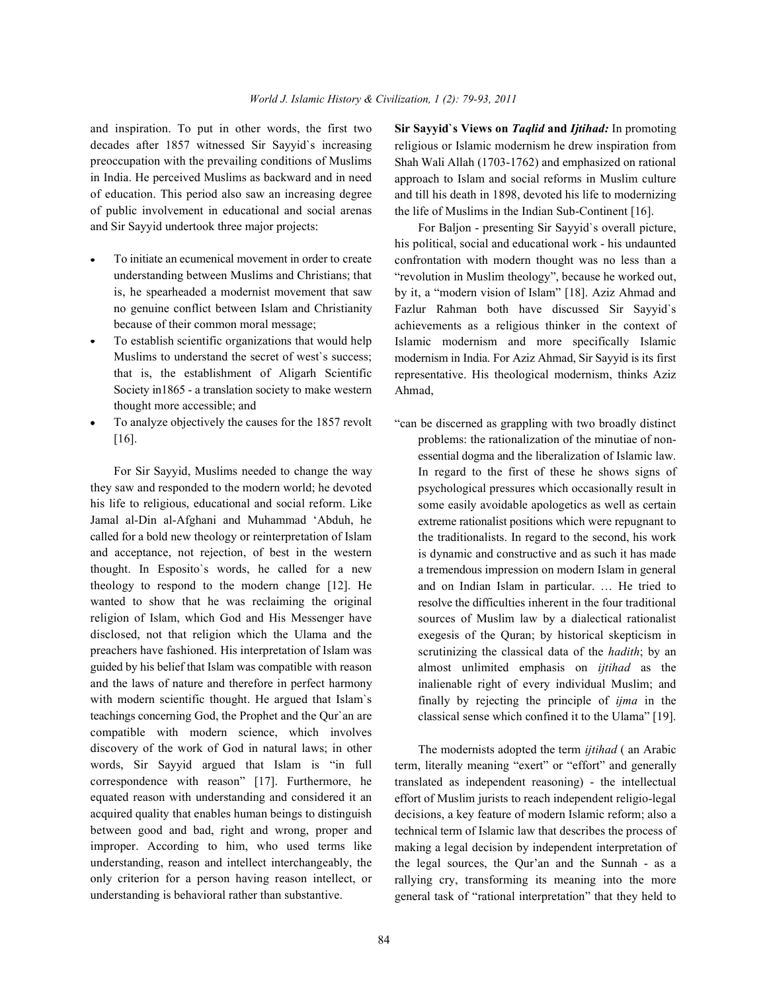decades after 1857 witnessed Sir Sayyid`s increasing preoccupation with the prevailing conditions of Muslims in India. He perceived Muslims as backward and in need of education. This period also saw an increasing degree of public involvement in educational and social arenas and Sir Sayyid undertook three major projects:

- To initiate an ecumenical movement in order to create understanding between Muslims and Christians; that is, he spearheaded a modernist movement that saw no genuine conflict between Islam and Christianity because of their common moral message;
- To establish scientific organizations that would help Muslims to understand the secret of west`s success; that is, the establishment of Aligarh Scientific Society in1865 - a translation society to make western thought more accessible; and
- To analyze objectively the causes for the 1857 revolt [16].

For Sir Sayyid, Muslims needed to change the way they saw and responded to the modern world; he devoted his life to religious, educational and social reform. Like Jamal al-Din al-Afghani and Muhammad 'Abduh, he called for a bold new theology or reinterpretation of Islam and acceptance, not rejection, of best in the western thought. In Esposito`s words, he called for a new theology to respond to the modern change [12]. He wanted to show that he was reclaiming the original religion of Islam, which God and His Messenger have disclosed, not that religion which the Ulama and the preachers have fashioned. His interpretation of Islam was guided by his belief that Islam was compatible with reason and the laws of nature and therefore in perfect harmony with modern scientific thought. He argued that Islam's teachings concerning God, the Prophet and the Qur`an are compatible with modern science, which involves discovery of the work of God in natural laws; in other words, Sir Sayyid argued that Islam is "in full correspondence with reason" [17]. Furthermore, he equated reason with understanding and considered it an acquired quality that enables human beings to distinguish between good and bad, right and wrong, proper and improper. According to him, who used terms like understanding, reason and intellect interchangeably, the only criterion for a person having reason intellect, or understanding is behavioral rather than substantive.

and inspiration. To put in other words, the first two **Sir Sayyid`s Views on** *Taqlid* **and** *Ijtihad:* In promoting religious or Islamic modernism he drew inspiration from Shah Wali Allah (1703-1762) and emphasized on rational approach to Islam and social reforms in Muslim culture and till his death in 1898, devoted his life to modernizing the life of Muslims in the Indian Sub-Continent [16].

> For Baljon - presenting Sir Sayyid`s overall picture, his political, social and educational work - his undaunted confrontation with modern thought was no less than a "revolution in Muslim theology", because he worked out, by it, a "modern vision of Islam" [18]. Aziz Ahmad and Fazlur Rahman both have discussed Sir Sayyid`s achievements as a religious thinker in the context of Islamic modernism and more specifically Islamic modernism in India. For Aziz Ahmad, Sir Sayyid is its first representative. His theological modernism, thinks Aziz Ahmad,

> "can be discerned as grappling with two broadly distinct problems: the rationalization of the minutiae of nonessential dogma and the liberalization of Islamic law. In regard to the first of these he shows signs of psychological pressures which occasionally result in some easily avoidable apologetics as well as certain extreme rationalist positions which were repugnant to the traditionalists. In regard to the second, his work is dynamic and constructive and as such it has made a tremendous impression on modern Islam in general and on Indian Islam in particular. … He tried to resolve the difficulties inherent in the four traditional sources of Muslim law by a dialectical rationalist exegesis of the Quran; by historical skepticism in scrutinizing the classical data of the *hadith*; by an almost unlimited emphasis on *ijtihad* as the inalienable right of every individual Muslim; and finally by rejecting the principle of *ijma* in the classical sense which confined it to the Ulama" [19].

> The modernists adopted the term *ijtihad* ( an Arabic term, literally meaning "exert" or "effort" and generally translated as independent reasoning) - the intellectual effort of Muslim jurists to reach independent religio-legal decisions, a key feature of modern Islamic reform; also a technical term of Islamic law that describes the process of making a legal decision by independent interpretation of the legal sources, the Qur'an and the Sunnah - as a rallying cry, transforming its meaning into the more general task of "rational interpretation" that they held to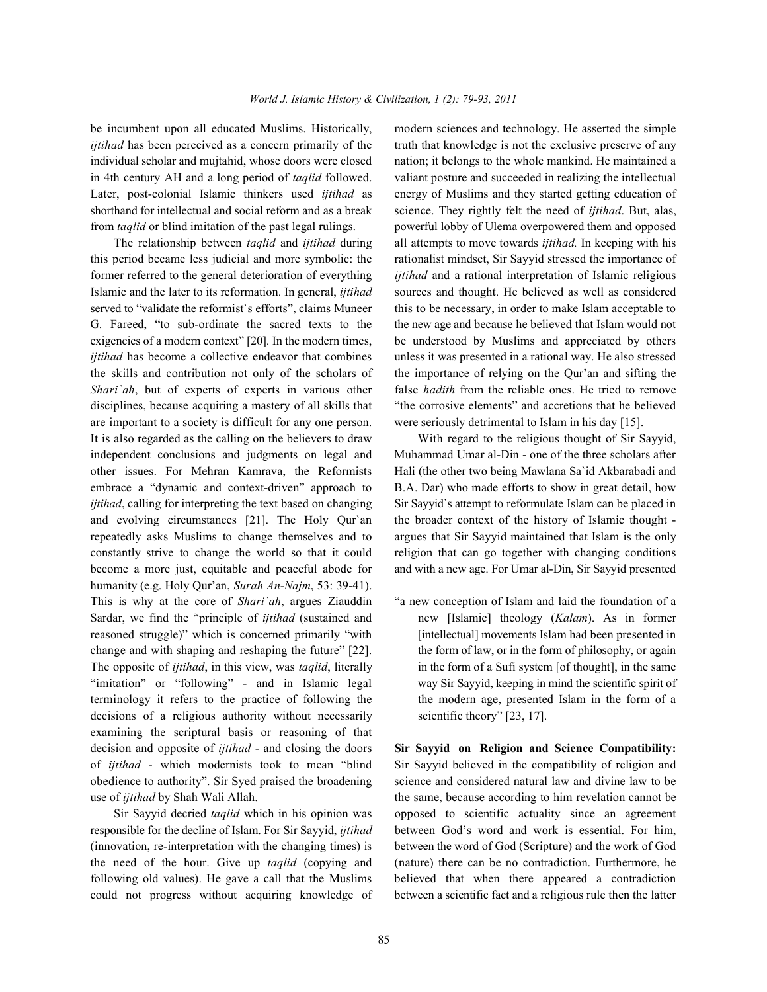*ijtihad* has been perceived as a concern primarily of the truth that knowledge is not the exclusive preserve of any individual scholar and mujtahid, whose doors were closed nation; it belongs to the whole mankind. He maintained a in 4th century AH and a long period of *taqlid* followed. valiant posture and succeeded in realizing the intellectual shorthand for intellectual and social reform and as a break science. They rightly felt the need of *ijtihad*. But, alas, from *taqlid* or blind imitation of the past legal rulings. powerful lobby of Ulema overpowered them and opposed

this period became less judicial and more symbolic: the rationalist mindset, Sir Sayyid stressed the importance of former referred to the general deterioration of everything *ijtihad* and a rational interpretation of Islamic religious Islamic and the later to its reformation. In general, *ijtihad* sources and thought. He believed as well as considered served to "validate the reformist's efforts", claims Muneer this to be necessary, in order to make Islam acceptable to G. Fareed, "to sub-ordinate the sacred texts to the the new age and because he believed that Islam would not exigencies of a modern context" [20]. In the modern times, be understood by Muslims and appreciated by others *ijtihad* has become a collective endeavor that combines unless it was presented in a rational way. He also stressed the skills and contribution not only of the scholars of the importance of relying on the Qur'an and sifting the *Shari'ah*, but of experts of experts in various other false *hadith* from the reliable ones. He tried to remove disciplines, because acquiring a mastery of all skills that "the corrosive elements" and accretions that he believed are important to a society is difficult for any one person. were seriously detrimental to Islam in his day [15]. It is also regarded as the calling on the believers to draw With regard to the religious thought of Sir Sayyid, independent conclusions and judgments on legal and Muhammad Umar al-Din - one of the three scholars after other issues. For Mehran Kamrava, the Reformists Hali (the other two being Mawlana Sa`id Akbarabadi and embrace a "dynamic and context-driven" approach to B.A. Dar) who made efforts to show in great detail, how *ijtihad*, calling for interpreting the text based on changing Sir Sayyid's attempt to reformulate Islam can be placed in and evolving circumstances [21]. The Holy Qur`an the broader context of the history of Islamic thought repeatedly asks Muslims to change themselves and to argues that Sir Sayyid maintained that Islam is the only constantly strive to change the world so that it could religion that can go together with changing conditions become a more just, equitable and peaceful abode for and with a new age. For Umar al-Din, Sir Sayyid presented humanity (e.g. Holy Qur'an, *Surah An-Najm*, 53: 39-41). This is why at the core of *Shari`ah*, argues Ziauddin "a new conception of Islam and laid the foundation of a Sardar, we find the "principle of *ijtihad* (sustained and new [Islamic] theology (*Kalam*). As in former reasoned struggle)" which is concerned primarily "with [intellectual] movements Islam had been presented in change and with shaping and reshaping the future" [22]. the form of law, or in the form of philosophy, or again The opposite of *ijtihad*, in this view, was *taqlid*, literally in the form of a Sufi system [of thought], in the same "imitation" or "following" - and in Islamic legal way Sir Sayyid, keeping in mind the scientific spirit of terminology it refers to the practice of following the the modern age, presented Islam in the form of a decisions of a religious authority without necessarily scientific theory" [23, 17]. examining the scriptural basis or reasoning of that decision and opposite of *ijtihad* - and closing the doors **Sir Sayyid on Religion and Science Compatibility:** of *ijtihad -* which modernists took to mean "blind Sir Sayyid believed in the compatibility of religion and obedience to authority". Sir Syed praised the broadening science and considered natural law and divine law to be use of *ijtihad* by Shah Wali Allah. the same, because according to him revelation cannot be

be incumbent upon all educated Muslims. Historically, modern sciences and technology. He asserted the simple Later, post-colonial Islamic thinkers used *ijtihad* as energy of Muslims and they started getting education of The relationship between *taqlid* and *ijtihad* during all attempts to move towards *ijtihad.* In keeping with his

Sir Sayyid decried *taqlid* which in his opinion was opposed to scientific actuality since an agreement responsible for the decline of Islam. For Sir Sayyid, *ijtihad* between God's word and work is essential. For him, (innovation, re-interpretation with the changing times) is between the word of God (Scripture) and the work of God the need of the hour. Give up *taqlid* (copying and (nature) there can be no contradiction. Furthermore, he following old values). He gave a call that the Muslims believed that when there appeared a contradiction could not progress without acquiring knowledge of between a scientific fact and a religious rule then the latter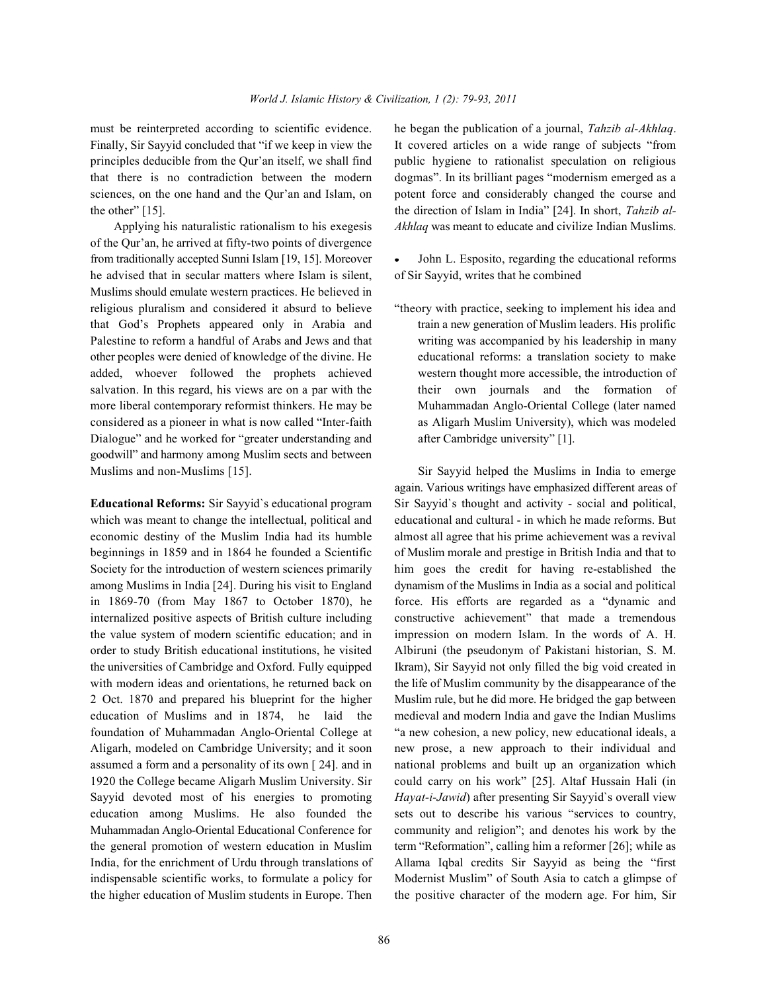of the Qur'an, he arrived at fifty-two points of divergence from traditionally accepted Sunni Islam [19, 15]. Moreover • John L. Esposito, regarding the educational reforms he advised that in secular matters where Islam is silent, of Sir Sayyid, writes that he combined Muslims should emulate western practices. He believed in religious pluralism and considered it absurd to believe "theory with practice, seeking to implement his idea and that God's Prophets appeared only in Arabia and train a new generation of Muslim leaders. His prolific Palestine to reform a handful of Arabs and Jews and that writing was accompanied by his leadership in many other peoples were denied of knowledge of the divine. He educational reforms: a translation society to make added, whoever followed the prophets achieved western thought more accessible, the introduction of salvation. In this regard, his views are on a par with the their own journals and the formation of more liberal contemporary reformist thinkers. He may be Muhammadan Anglo-Oriental College (later named considered as a pioneer in what is now called "Inter-faith as Aligarh Muslim University), which was modeled Dialogue" and he worked for "greater understanding and after Cambridge university" [1]. goodwill" and harmony among Muslim sects and between Muslims and non-Muslims [15]. Sir Sayyid helped the Muslims in India to emerge

which was meant to change the intellectual, political and educational and cultural - in which he made reforms. But economic destiny of the Muslim India had its humble almost all agree that his prime achievement was a revival beginnings in 1859 and in 1864 he founded a Scientific of Muslim morale and prestige in British India and that to Society for the introduction of western sciences primarily him goes the credit for having re-established the among Muslims in India [24]. During his visit to England dynamism of the Muslims in India as a social and political in 1869-70 (from May 1867 to October 1870), he force. His efforts are regarded as a "dynamic and internalized positive aspects of British culture including constructive achievement" that made a tremendous the value system of modern scientific education; and in impression on modern Islam. In the words of A. H. order to study British educational institutions, he visited Albiruni (the pseudonym of Pakistani historian, S. M. the universities of Cambridge and Oxford. Fully equipped Ikram), Sir Sayyid not only filled the big void created in with modern ideas and orientations, he returned back on the life of Muslim community by the disappearance of the 2 Oct. 1870 and prepared his blueprint for the higher Muslim rule, but he did more. He bridged the gap between education of Muslims and in 1874, he laid the medieval and modern India and gave the Indian Muslims foundation of Muhammadan Anglo-Oriental College at "a new cohesion, a new policy, new educational ideals, a Aligarh, modeled on Cambridge University; and it soon new prose, a new approach to their individual and assumed a form and a personality of its own [ 24]. and in national problems and built up an organization which 1920 the College became Aligarh Muslim University. Sir could carry on his work" [25]. Altaf Hussain Hali (in Sayyid devoted most of his energies to promoting *Hayat-i-Jawid*) after presenting Sir Sayyid`s overall view education among Muslims. He also founded the sets out to describe his various "services to country, Muhammadan Anglo-Oriental Educational Conference for community and religion"; and denotes his work by the the general promotion of western education in Muslim term "Reformation", calling him a reformer [26]; while as India, for the enrichment of Urdu through translations of Allama Iqbal credits Sir Sayyid as being the "first indispensable scientific works, to formulate a policy for Modernist Muslim" of South Asia to catch a glimpse of the higher education of Muslim students in Europe. Then the positive character of the modern age. For him, Sir

must be reinterpreted according to scientific evidence. he began the publication of a journal, *Tahzib al-Akhlaq*. Finally, Sir Sayyid concluded that "if we keep in view the It covered articles on a wide range of subjects "from principles deducible from the Qur'an itself, we shall find public hygiene to rationalist speculation on religious that there is no contradiction between the modern dogmas". In its brilliant pages "modernism emerged as a sciences, on the one hand and the Qur'an and Islam, on potent force and considerably changed the course and the other" [15]. the direction of Islam in India" [24]. In short, *Tahzib al-*Applying his naturalistic rationalism to his exegesis *Akhlaq* was meant to educate and civilize Indian Muslims.

again. Various writings have emphasized different areas of **Educational Reforms:** Sir Sayyid`s educational program Sir Sayyid`s thought and activity - social and political,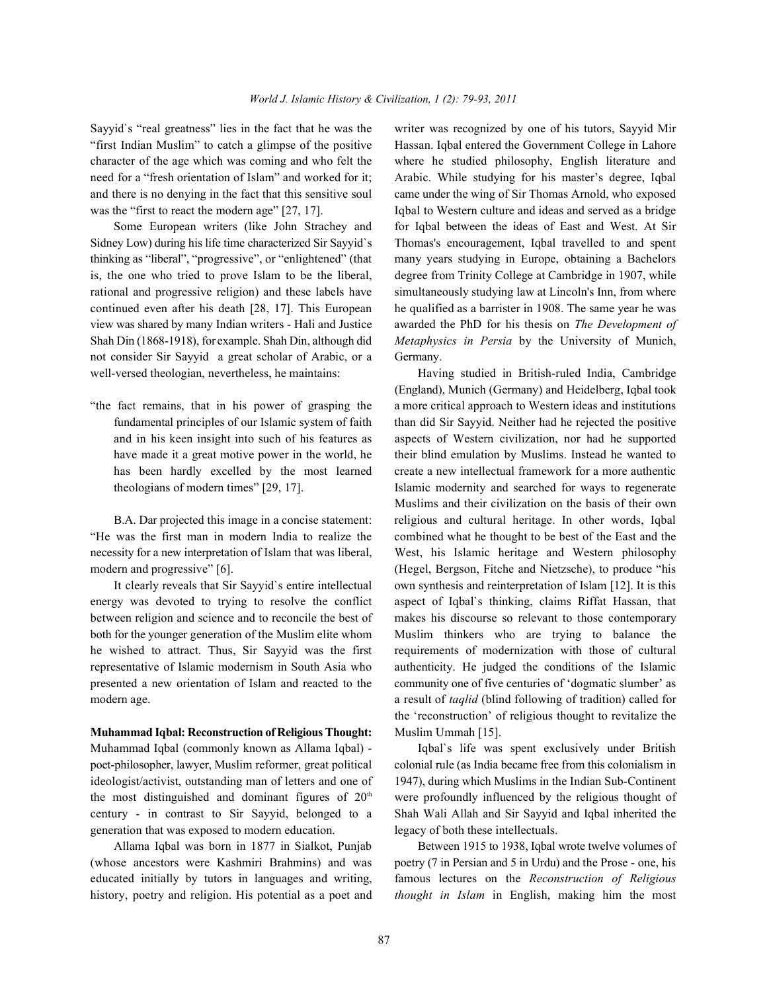"first Indian Muslim" to catch a glimpse of the positive Hassan. Iqbal entered the Government College in Lahore character of the age which was coming and who felt the where he studied philosophy, English literature and need for a "fresh orientation of Islam" and worked for it; Arabic. While studying for his master's degree, Iqbal and there is no denying in the fact that this sensitive soul came under the wing of Sir Thomas Arnold, who exposed was the "first to react the modern age" [27, 17]. Igbal to Western culture and ideas and served as a bridge

Sidney Low) during his life time characterized Sir Sayyid`s Thomas's encouragement, Iqbal travelled to and spent thinking as "liberal", "progressive", or "enlightened" (that many years studying in Europe, obtaining a Bachelors is, the one who tried to prove Islam to be the liberal, degree from Trinity College at Cambridge in 1907, while rational and progressive religion) and these labels have simultaneously studying law at Lincoln's Inn, from where continued even after his death [28, 17]. This European he qualified as a barrister in 1908. The same year he was view was shared by many Indian writers - Hali and Justice awarded the PhD for his thesis on *The Development of* Shah Din (1868-1918), for example. Shah Din, although did *Metaphysics in Persia* by the University of Munich, not consider Sir Sayyid a great scholar of Arabic, or a Germany. well-versed theologian, nevertheless, he maintains: Having studied in British-ruled India, Cambridge

"He was the first man in modern India to realize the combined what he thought to be best of the East and the necessity for a new interpretation of Islam that was liberal, West, his Islamic heritage and Western philosophy modern and progressive" [6]. (Hegel, Bergson, Fitche and Nietzsche), to produce "his

energy was devoted to trying to resolve the conflict aspect of Iqbal`s thinking, claims Riffat Hassan, that between religion and science and to reconcile the best of makes his discourse so relevant to those contemporary both for the younger generation of the Muslim elite whom Muslim thinkers who are trying to balance the he wished to attract. Thus, Sir Sayyid was the first requirements of modernization with those of cultural representative of Islamic modernism in South Asia who authenticity. He judged the conditions of the Islamic presented a new orientation of Islam and reacted to the community one of five centuries of 'dogmatic slumber' as modern age. **a** result of *taqlid* (blind following of tradition) called for

**Muhammad Iqbal: Reconstruction of Religious Thought:** Muslim Ummah [15]. Muhammad Iqbal (commonly known as Allama Iqbal) - Iqbal`s life was spent exclusively under British poet-philosopher, lawyer, Muslim reformer, great political colonial rule (as India became free from this colonialism in ideologist/activist, outstanding man of letters and one of 1947), during which Muslims in the Indian Sub-Continent the most distinguished and dominant figures of  $20<sup>th</sup>$  were profoundly influenced by the religious thought of century - in contrast to Sir Sayyid, belonged to a Shah Wali Allah and Sir Sayyid and Iqbal inherited the generation that was exposed to modern education. legacy of both these intellectuals.

(whose ancestors were Kashmiri Brahmins) and was poetry (7 in Persian and 5 in Urdu) and the Prose - one, his educated initially by tutors in languages and writing, famous lectures on the *Reconstruction of Religious* history, poetry and religion. His potential as a poet and *thought in Islam* in English, making him the most

Sayyid`s "real greatness" lies in the fact that he was the writer was recognized by one of his tutors, Sayyid Mir Some European writers (like John Strachey and for Iqbal between the ideas of East and West. At Sir

"the fact remains, that in his power of grasping the a more critical approach to Western ideas and institutions fundamental principles of our Islamic system of faith than did Sir Sayyid. Neither had he rejected the positive and in his keen insight into such of his features as aspects of Western civilization, nor had he supported have made it a great motive power in the world, he their blind emulation by Muslims. Instead he wanted to has been hardly excelled by the most learned create a new intellectual framework for a more authentic theologians of modern times" [29, 17]. Islamic modernity and searched for ways to regenerate Muslims and their civilization on the basis of their own B.A. Dar projected this image in a concise statement: religious and cultural heritage. In other words, Iqbal It clearly reveals that Sir Sayyid`s entire intellectual own synthesis and reinterpretation of Islam [12]. It is this (England), Munich (Germany) and Heidelberg, Iqbal took the 'reconstruction' of religious thought to revitalize the

Allama Iqbal was born in 1877 in Sialkot, Punjab Between 1915 to 1938, Iqbal wrote twelve volumes of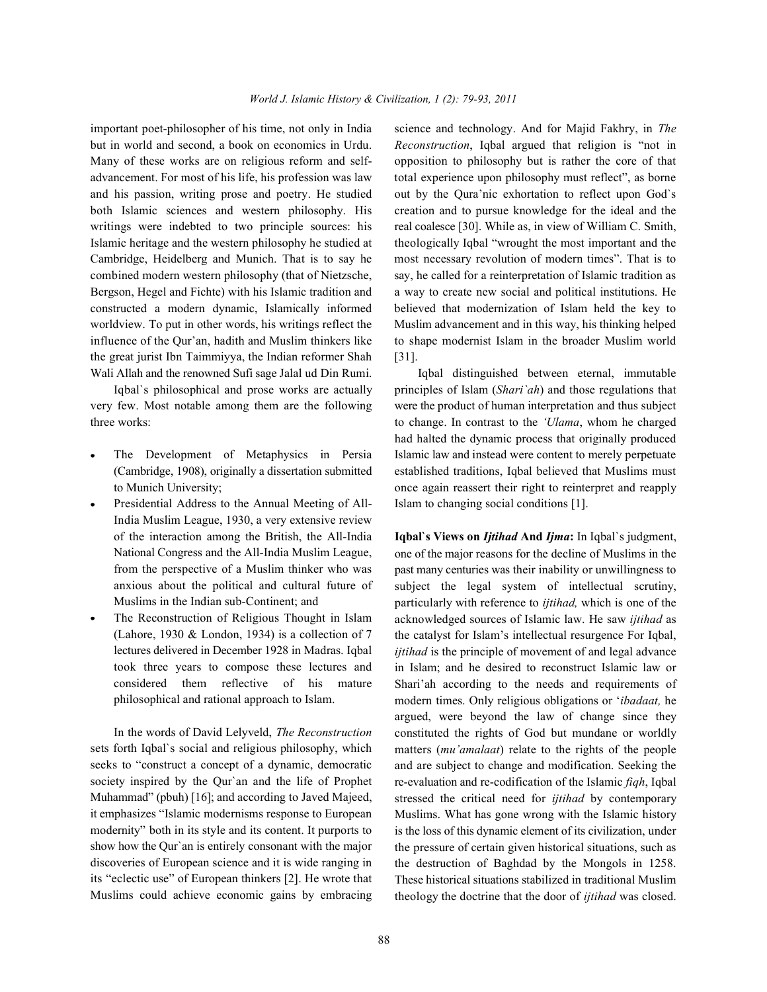but in world and second, a book on economics in Urdu. *Reconstruction*, Iqbal argued that religion is "not in Many of these works are on religious reform and self- opposition to philosophy but is rather the core of that advancement. For most of his life, his profession was law total experience upon philosophy must reflect", as borne and his passion, writing prose and poetry. He studied out by the Qura'nic exhortation to reflect upon God`s both Islamic sciences and western philosophy. His creation and to pursue knowledge for the ideal and the writings were indebted to two principle sources: his real coalesce [30]. While as, in view of William C. Smith, Islamic heritage and the western philosophy he studied at theologically Iqbal "wrought the most important and the Cambridge, Heidelberg and Munich. That is to say he most necessary revolution of modern times". That is to combined modern western philosophy (that of Nietzsche, say, he called for a reinterpretation of Islamic tradition as Bergson, Hegel and Fichte) with his Islamic tradition and a way to create new social and political institutions. He constructed a modern dynamic, Islamically informed believed that modernization of Islam held the key to worldview. To put in other words, his writings reflect the Muslim advancement and in this way, his thinking helped influence of the Qur'an, hadith and Muslim thinkers like to shape modernist Islam in the broader Muslim world the great jurist Ibn Taimmiyya, the Indian reformer Shah [31].

very few. Most notable among them are the following were the product of human interpretation and thus subject three works: to change. In contrast to the *'Ulama*, whom he charged

- 
- Presidential Address to the Annual Meeting of All- Islam to changing social conditions [1]. India Muslim League, 1930, a very extensive review of the interaction among the British, the All-India **Iqbal`s Views on** *Ijtihad* **And** *Ijma***:** In Iqbal`s judgment, National Congress and the All-India Muslim League, from the perspective of a Muslim thinker who was anxious about the political and cultural future of Muslims in the Indian sub-Continent; and
- The Reconstruction of Religious Thought in Islam (Lahore, 1930 & London, 1934) is a collection of 7 lectures delivered in December 1928 in Madras. Iqbal took three years to compose these lectures and considered them reflective of his mature philosophical and rational approach to Islam.

In the words of David Lelyveld, *The Reconstruction* sets forth Iqbal`s social and religious philosophy, which seeks to "construct a concept of a dynamic, democratic society inspired by the Qur`an and the life of Prophet Muhammad" (pbuh) [16]; and according to Javed Majeed, it emphasizes "Islamic modernisms response to European modernity" both in its style and its content. It purports to show how the Qur`an is entirely consonant with the major discoveries of European science and it is wide ranging in its "eclectic use" of European thinkers [2]. He wrote that Muslims could achieve economic gains by embracing

important poet-philosopher of his time, not only in India science and technology. And for Majid Fakhry, in *The*

Wali Allah and the renowned Sufi sage Jalal ud Din Rumi. Iqbal distinguished between eternal, immutable Iqbal`s philosophical and prose works are actually principles of Islam (*Shari`ah*) and those regulations that The Development of Metaphysics in Persia Islamic law and instead were content to merely perpetuate (Cambridge, 1908), originally a dissertation submitted established traditions, Iqbal believed that Muslims must to Munich University; once again reassert their right to reinterpret and reapply had halted the dynamic process that originally produced

> one of the major reasons for the decline of Muslims in the past many centuries was their inability or unwillingness to subject the legal system of intellectual scrutiny, particularly with reference to *ijtihad,* which is one of the acknowledged sources of Islamic law. He saw *ijtihad* as the catalyst for Islam's intellectual resurgence For Iqbal, *ijtihad* is the principle of movement of and legal advance in Islam; and he desired to reconstruct Islamic law or Shari'ah according to the needs and requirements of modern times. Only religious obligations or '*ibadaat,* he argued, were beyond the law of change since they constituted the rights of God but mundane or worldly matters (*mu'amalaat*) relate to the rights of the people and are subject to change and modification. Seeking the re-evaluation and re-codification of the Islamic *fiqh*, Iqbal stressed the critical need for *ijtihad* by contemporary Muslims. What has gone wrong with the Islamic history is the loss of this dynamic element of its civilization, under the pressure of certain given historical situations, such as the destruction of Baghdad by the Mongols in 1258. These historical situations stabilized in traditional Muslim theology the doctrine that the door of *ijtihad* was closed.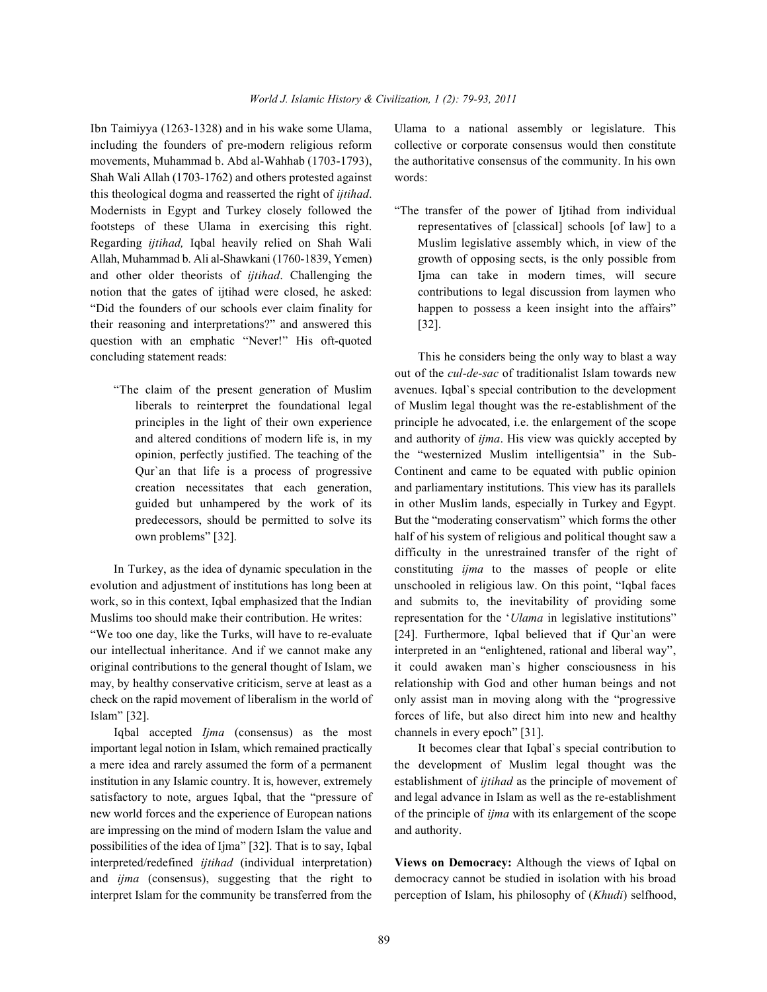including the founders of pre-modern religious reform collective or corporate consensus would then constitute movements, Muhammad b. Abd al-Wahhab (1703-1793), the authoritative consensus of the community. In his own Shah Wali Allah (1703-1762) and others protested against words: this theological dogma and reasserted the right of *ijtihad*. Modernists in Egypt and Turkey closely followed the "The transfer of the power of Ijtihad from individual footsteps of these Ulama in exercising this right. representatives of [classical] schools [of law] to a Regarding *ijtihad*, Iqbal heavily relied on Shah Wali Muslim legislative assembly which, in view of the Allah, Muhammad b. Ali al-Shawkani (1760-1839, Yemen) growth of opposing sects, is the only possible from and other older theorists of *ijtihad*. Challenging the Ijma can take in modern times, will secure notion that the gates of ijtihad were closed, he asked: contributions to legal discussion from laymen who "Did the founders of our schools ever claim finality for happen to possess a keen insight into the affairs" their reasoning and interpretations?" and answered this [32]. question with an emphatic "Never!" His oft-quoted concluding statement reads: This he considers being the only way to blast a way

evolution and adjustment of institutions has long been at unschooled in religious law. On this point, "Iqbal faces work, so in this context, Iqbal emphasized that the Indian and submits to, the inevitability of providing some Muslims too should make their contribution. He writes: representation for the '*Ulama* in legislative institutions"

our intellectual inheritance. And if we cannot make any interpreted in an "enlightened, rational and liberal way", original contributions to the general thought of Islam, we it could awaken man`s higher consciousness in his may, by healthy conservative criticism, serve at least as a relationship with God and other human beings and not check on the rapid movement of liberalism in the world of only assist man in moving along with the "progressive Islam" [32]. forces of life, but also direct him into new and healthy

Iqbal accepted *Ijma* (consensus) as the most channels in every epoch" [31]. important legal notion in Islam, which remained practically It becomes clear that Iqbal`s special contribution to are impressing on the mind of modern Islam the value and authority. possibilities of the idea of Ijma" [32]. That is to say, Iqbal interpreted/redefined *ijtihad* (individual interpretation) **Views on Democracy:** Although the views of Iqbal on and *ijma* (consensus), suggesting that the right to democracy cannot be studied in isolation with his broad interpret Islam for the community be transferred from the perception of Islam, his philosophy of (*Khudi*) selfhood,

Ibn Taimiyya (1263-1328) and in his wake some Ulama, Ulama to a national assembly or legislature. This

"The claim of the present generation of Muslim avenues. Iqbal`s special contribution to the development liberals to reinterpret the foundational legal of Muslim legal thought was the re-establishment of the principles in the light of their own experience principle he advocated, i.e. the enlargement of the scope and altered conditions of modern life is, in my and authority of *ijma*. His view was quickly accepted by opinion, perfectly justified. The teaching of the the "westernized Muslim intelligentsia" in the Sub-Qur`an that life is a process of progressive Continent and came to be equated with public opinion creation necessitates that each generation, and parliamentary institutions. This view has its parallels guided but unhampered by the work of its in other Muslim lands, especially in Turkey and Egypt. predecessors, should be permitted to solve its But the "moderating conservatism" which forms the other own problems" [32]. half of his system of religious and political thought saw a In Turkey, as the idea of dynamic speculation in the constituting *ijma* to the masses of people or elite "We too one day, like the Turks, will have to re-evaluate [24]. Furthermore, Iqbal believed that if Qur`an were out of the *cul-de-sac* of traditionalist Islam towards new difficulty in the unrestrained transfer of the right of

a mere idea and rarely assumed the form of a permanent the development of Muslim legal thought was the institution in any Islamic country. It is, however, extremely establishment of *ijtihad* as the principle of movement of satisfactory to note, argues Iqbal, that the "pressure of and legal advance in Islam as well as the re-establishment new world forces and the experience of European nations of the principle of *ijma* with its enlargement of the scope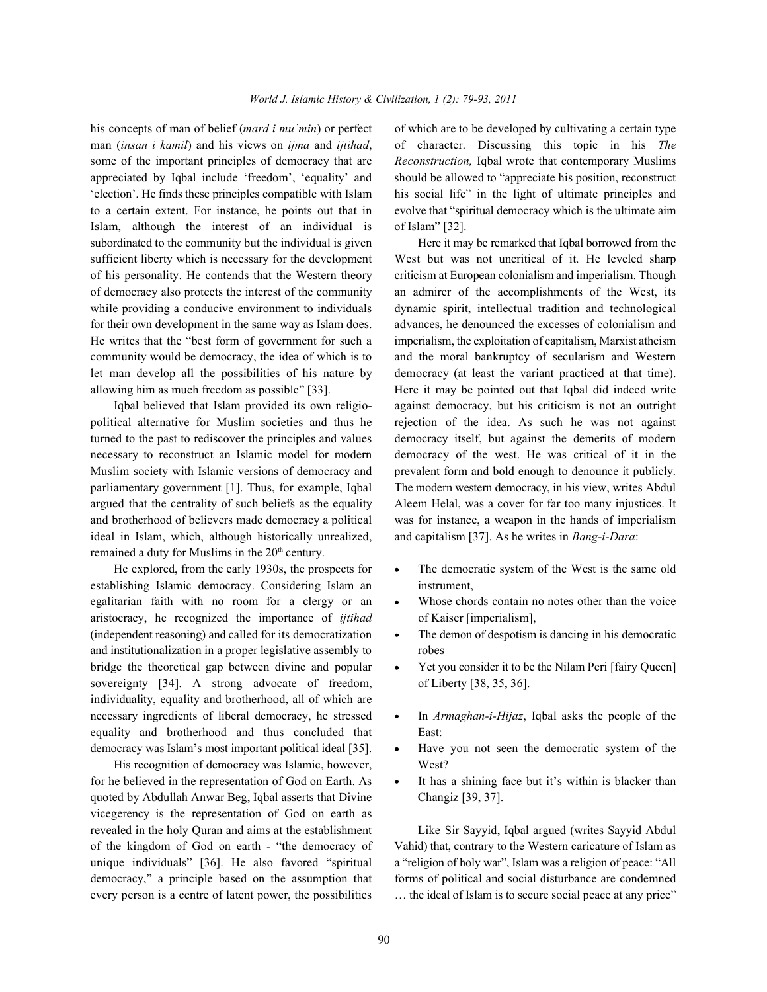man (*insan i kamil*) and his views on *ijma* and *ijtihad*, of character. Discussing this topic in his *The* some of the important principles of democracy that are *Reconstruction,* Iqbal wrote that contemporary Muslims appreciated by Iqbal include 'freedom', 'equality' and should be allowed to "appreciate his position, reconstruct 'election'. He finds these principles compatible with Islam his social life" in the light of ultimate principles and to a certain extent. For instance, he points out that in evolve that "spiritual democracy which is the ultimate aim Islam, although the interest of an individual is of Islam" [32]. subordinated to the community but the individual is given Here it may be remarked that Iqbal borrowed from the sufficient liberty which is necessary for the development West but was not uncritical of it. He leveled sharp of his personality. He contends that the Western theory criticism at European colonialism and imperialism. Though of democracy also protects the interest of the community an admirer of the accomplishments of the West, its while providing a conducive environment to individuals dynamic spirit, intellectual tradition and technological for their own development in the same way as Islam does. advances, he denounced the excesses of colonialism and He writes that the "best form of government for such a imperialism, the exploitation of capitalism, Marxist atheism community would be democracy, the idea of which is to and the moral bankruptcy of secularism and Western let man develop all the possibilities of his nature by democracy (at least the variant practiced at that time). allowing him as much freedom as possible" [33]. Here it may be pointed out that Iqbal did indeed write

political alternative for Muslim societies and thus he rejection of the idea. As such he was not against turned to the past to rediscover the principles and values democracy itself, but against the demerits of modern necessary to reconstruct an Islamic model for modern democracy of the west. He was critical of it in the Muslim society with Islamic versions of democracy and prevalent form and bold enough to denounce it publicly. parliamentary government [1]. Thus, for example, Iqbal The modern western democracy, in his view, writes Abdul argued that the centrality of such beliefs as the equality Aleem Helal, was a cover for far too many injustices. It and brotherhood of believers made democracy a political was for instance, a weapon in the hands of imperialism ideal in Islam, which, although historically unrealized, and capitalism [37]. As he writes in *Bang-i-Dara*: remained a duty for Muslims in the  $20<sup>th</sup>$  century.

establishing Islamic democracy. Considering Islam an instrument, egalitarian faith with no room for a clergy or an • Whose chords contain no notes other than the voice aristocracy, he recognized the importance of *ijtihad* of Kaiser [imperialism], (independent reasoning) and called for its democratization • The demon of despotism is dancing in his democratic and institutionalization in a proper legislative assembly to robes bridge the theoretical gap between divine and popular • Yet you consider it to be the Nilam Peri [fairy Queen] sovereignty [34]. A strong advocate of freedom, of Liberty [38, 35, 36]. individuality, equality and brotherhood, all of which are necessary ingredients of liberal democracy, he stressed • In *Armaghan-i-Hijaz*, Iqbal asks the people of the equality and brotherhood and thus concluded that East: democracy was Islam's most important political ideal [35].  $\bullet$  Have you not seen the democratic system of the

His recognition of democracy was Islamic, however, West? for he believed in the representation of God on Earth. As • It has a shining face but it's within is blacker than quoted by Abdullah Anwar Beg, Iqbal asserts that Divine Changiz [39, 37]. vicegerency is the representation of God on earth as revealed in the holy Quran and aims at the establishment Like Sir Sayyid, Iqbal argued (writes Sayyid Abdul of the kingdom of God on earth - "the democracy of Vahid) that, contrary to the Western caricature of Islam as unique individuals" [36]. He also favored "spiritual a "religion of holy war", Islam was a religion of peace: "All democracy," a principle based on the assumption that forms of political and social disturbance are condemned

his concepts of man of belief *(mard i mu`min)* or perfect of which are to be developed by cultivating a certain type

Iqbal believed that Islam provided its own religio- against democracy, but his criticism is not an outright

- He explored, from the early 1930s, the prospects for  $\bullet$  The democratic system of the West is the same old
	-
	-
	-
	-
	-
	-

every person is a centre of latent power, the possibilities … the ideal of Islam is to secure social peace at any price"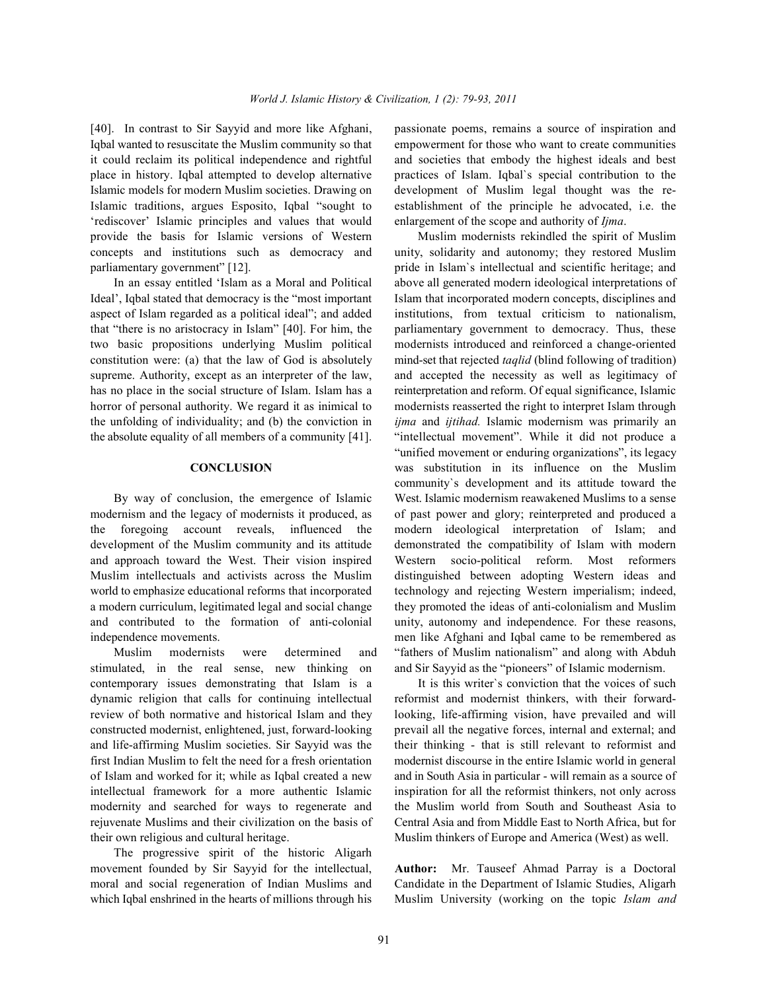Iqbal wanted to resuscitate the Muslim community so that empowerment for those who want to create communities it could reclaim its political independence and rightful and societies that embody the highest ideals and best place in history. Iqbal attempted to develop alternative practices of Islam. Iqbal`s special contribution to the Islamic models for modern Muslim societies. Drawing on development of Muslim legal thought was the re-Islamic traditions, argues Esposito, Iqbal "sought to establishment of the principle he advocated, i.e. the 'rediscover' Islamic principles and values that would enlargement of the scope and authority of *Ijma*. provide the basis for Islamic versions of Western Muslim modernists rekindled the spirit of Muslim concepts and institutions such as democracy and unity, solidarity and autonomy; they restored Muslim

Ideal', Iqbal stated that democracy is the "most important Islam that incorporated modern concepts, disciplines and aspect of Islam regarded as a political ideal"; and added institutions, from textual criticism to nationalism, that "there is no aristocracy in Islam" [40]. For him, the parliamentary government to democracy. Thus, these two basic propositions underlying Muslim political modernists introduced and reinforced a change-oriented constitution were: (a) that the law of God is absolutely mind-set that rejected *taqlid* (blind following of tradition) supreme. Authority, except as an interpreter of the law, and accepted the necessity as well as legitimacy of has no place in the social structure of Islam. Islam has a reinterpretation and reform. Of equal significance, Islamic horror of personal authority. We regard it as inimical to modernists reasserted the right to interpret Islam through the unfolding of individuality; and (b) the conviction in *ijma* and *ijtihad.* Islamic modernism was primarily an

modernism and the legacy of modernists it produced, as of past power and glory; reinterpreted and produced a the foregoing account reveals, influenced the modern ideological interpretation of Islam; and development of the Muslim community and its attitude demonstrated the compatibility of Islam with modern and approach toward the West. Their vision inspired Western socio-political reform. Most reformers Muslim intellectuals and activists across the Muslim distinguished between adopting Western ideas and world to emphasize educational reforms that incorporated technology and rejecting Western imperialism; indeed, a modern curriculum, legitimated legal and social change they promoted the ideas of anti-colonialism and Muslim and contributed to the formation of anti-colonial unity, autonomy and independence. For these reasons, independence movements. men like Afghani and Iqbal came to be remembered as

stimulated, in the real sense, new thinking on and Sir Sayyid as the "pioneers" of Islamic modernism. contemporary issues demonstrating that Islam is a It is this writer`s conviction that the voices of such dynamic religion that calls for continuing intellectual reformist and modernist thinkers, with their forwardreview of both normative and historical Islam and they looking, life-affirming vision, have prevailed and will constructed modernist, enlightened, just, forward-looking prevail all the negative forces, internal and external; and and life-affirming Muslim societies. Sir Sayyid was the their thinking - that is still relevant to reformist and first Indian Muslim to felt the need for a fresh orientation modernist discourse in the entire Islamic world in general of Islam and worked for it; while as Iqbal created a new and in South Asia in particular - will remain as a source of intellectual framework for a more authentic Islamic inspiration for all the reformist thinkers, not only across modernity and searched for ways to regenerate and the Muslim world from South and Southeast Asia to rejuvenate Muslims and their civilization on the basis of Central Asia and from Middle East to North Africa, but for their own religious and cultural heritage. Muslim thinkers of Europe and America (West) as well.

The progressive spirit of the historic Aligarh movement founded by Sir Sayyid for the intellectual, **Author:** Mr. Tauseef Ahmad Parray is a Doctoral moral and social regeneration of Indian Muslims and Candidate in the Department of Islamic Studies, Aligarh which Iqbal enshrined in the hearts of millions through his Muslim University (working on the topic *Islam and* 

[40]. In contrast to Sir Sayyid and more like Afghani, passionate poems, remains a source of inspiration and

parliamentary government" [12]. pride in Islam`s intellectual and scientific heritage; and In an essay entitled 'Islam as a Moral and Political above all generated modern ideological interpretations of the absolute equality of all members of a community [41]. "intellectual movement". While it did not produce a "unified movement or enduring organizations", its legacy **CONCLUSION** was substitution in its influence on the Muslim By way of conclusion, the emergence of Islamic West. Islamic modernism reawakened Muslims to a sense Muslim modernists were determined and "fathers of Muslim nationalism" and along with Abduh community`s development and its attitude toward the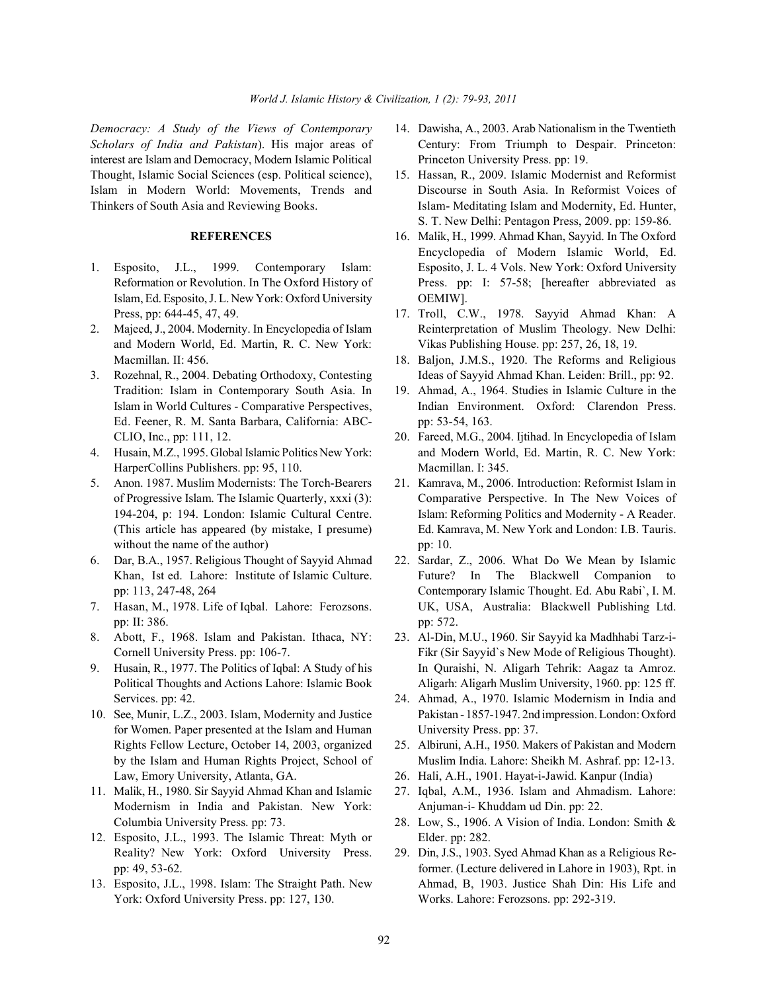*Scholars of India and Pakistan*). His major areas of Century: From Triumph to Despair. Princeton: interest are Islam and Democracy, Modern Islamic Political Princeton University Press. pp: 19. Thought, Islamic Social Sciences (esp. Political science), 15. Hassan, R., 2009. Islamic Modernist and Reformist Islam in Modern World: Movements, Trends and Discourse in South Asia. In Reformist Voices of Thinkers of South Asia and Reviewing Books. Islam- Meditating Islam and Modernity, Ed. Hunter,

- Islam, Ed. Esposito, J. L. New York: Oxford University OEMIW]. Press, pp: 644-45, 47, 49. 17. Troll, C.W., 1978. Sayyid Ahmad Khan: A
- and Modern World, Ed. Martin, R. C. New York: Vikas Publishing House. pp: 257, 26, 18, 19. Macmillan. II: 456. 18. 18. Paljon, J.M.S., 1920. The Reforms and Religious
- Tradition: Islam in Contemporary South Asia. In 19. Ahmad, A., 1964. Studies in Islamic Culture in the Ed. Feener, R. M. Santa Barbara, California: ABC- pp: 53-54, 163. CLIO, Inc., pp: 111, 12. 20. Fareed, M.G., 2004. Ijtihad. In Encyclopedia of Islam
- HarperCollins Publishers. pp: 95, 110. Macmillan. I: 345.
- 5. Anon. 1987. Muslim Modernists: The Torch-Bearers 21. Kamrava, M., 2006. Introduction: Reformist Islam in without the name of the author) pp: 10.
- 
- pp: II: 386. pp: 572.
- 
- Services. pp: 42. 24. Ahmad, A., 1970. Islamic Modernism in India and
- for Women. Paper presented at the Islam and Human University Press. pp: 37. Rights Fellow Lecture, October 14, 2003, organized 25. Albiruni, A.H., 1950. Makers of Pakistan and Modern Law, Emory University, Atlanta, GA. 26. Hali, A.H., 1901. Hayat-i-Jawid. Kanpur (India)
- 11. Malik, H., 1980. Sir Sayyid Ahmad Khan and Islamic 27. Iqbal, A.M., 1936. Islam and Ahmadism. Lahore: Modernism in India and Pakistan. New York: Anjuman-i- Khuddam ud Din. pp: 22. Columbia University Press. pp: 73. 28. Low, S., 1906. A Vision of India. London: Smith &
- 12. Esposito, J.L., 1993. The Islamic Threat: Myth or Elder. pp: 282. Reality? New York: Oxford University Press. 29. Din, J.S., 1903. Syed Ahmad Khan as a Religious Re-
- York: Oxford University Press. pp: 127, 130. Works. Lahore: Ferozsons. pp: 292-319.
- *Democracy: A Study of the Views of Contemporary* 14. Dawisha, A., 2003. Arab Nationalism in the Twentieth
	- S. T. New Delhi: Pentagon Press, 2009. pp: 159-86.
- **REFERENCES** 16. Malik, H., 1999. Ahmad Khan, Sayyid. In The Oxford 1. Esposito, J.L., 1999. Contemporary Islam: Esposito, J. L. 4 Vols. New York: Oxford University Reformation or Revolution. In The Oxford History of Press. pp: I: 57-58; [hereafter abbreviated as Encyclopedia of Modern Islamic World, Ed.
- 2. Majeed, J., 2004. Modernity. In Encyclopedia of Islam Reinterpretation of Muslim Theology. New Delhi:
- 3. Rozehnal, R., 2004. Debating Orthodoxy, Contesting Ideas of Sayyid Ahmad Khan. Leiden: Brill., pp: 92.
	- Islam in World Cultures Comparative Perspectives, Indian Environment. Oxford: Clarendon Press.
- 4. Husain, M.Z., 1995. Global Islamic Politics New York: and Modern World, Ed. Martin, R. C. New York:
	- of Progressive Islam. The Islamic Quarterly, xxxi (3): Comparative Perspective. In The New Voices of 194-204, p: 194. London: Islamic Cultural Centre. Islam: Reforming Politics and Modernity - A Reader. (This article has appeared (by mistake, I presume) Ed. Kamrava, M. New York and London: I.B. Tauris.
- 6. Dar, B.A., 1957. Religious Thought of Sayyid Ahmad 22. Sardar, Z., 2006. What Do We Mean by Islamic Khan, Ist ed. Lahore: Institute of Islamic Culture. Future? In The Blackwell Companion to pp: 113, 247-48, 264 Contemporary Islamic Thought. Ed. Abu Rabi`, I. M. 7. Hasan, M., 1978. Life of Iqbal. Lahore: Ferozsons. UK, USA, Australia: Blackwell Publishing Ltd.
- 8. Abott, F., 1968. Islam and Pakistan. Ithaca, NY: 23. Al-Din, M.U., 1960. Sir Sayyid ka Madhhabi Tarz-i-Cornell University Press. pp: 106-7. Fikr (Sir Sayyid`s New Mode of Religious Thought). 9. Husain, R., 1977. The Politics of Iqbal: A Study of his In Quraishi, N. Aligarh Tehrik: Aagaz ta Amroz. Political Thoughts and Actions Lahore: Islamic Book Aligarh: Aligarh Muslim University, 1960. pp: 125 ff.
- 10. See, Munir, L.Z., 2003. Islam, Modernity and Justice Pakistan 1857-1947. 2nd impression. London: Oxford
	- by the Islam and Human Rights Project, School of Muslim India. Lahore: Sheikh M. Ashraf. pp: 12-13.
		-
		-
		-
- pp: 49, 53-62. former. (Lecture delivered in Lahore in 1903), Rpt. in 13. Esposito, J.L., 1998. Islam: The Straight Path. New Ahmad, B, 1903. Justice Shah Din: His Life and